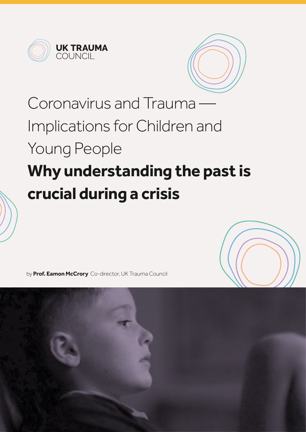



# Coronavirus and Trauma — Implications for Children and Young People **Why understanding the past is crucial during a crisis**



by **Prof. Eamon McCrory** Co-director, UK Trauma Council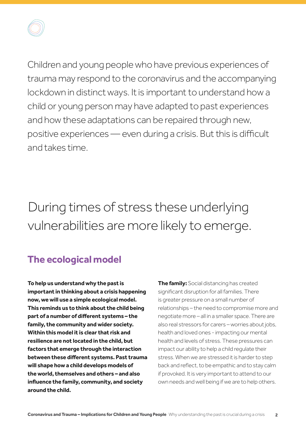

Children and young people who have previous experiences of trauma may respond to the coronavirus and the accompanying lockdown in distinct ways. It is important to understand how a child or young person may have adapted to past experiences and how these adaptations can be repaired through new, positive experiences — even during a crisis. But this is difficult and takes time.

### During times of stress these underlying vulnerabilities are more likely to emerge.

#### **The ecological model**

**To help us understand why the past is important in thinking about a crisis happening now, we will use a simple ecological model. This reminds us to think about the child being part of a number of different systems – the family, the community and wider society. Within this model it is clear that risk and resilience are not located in the child, but factors that emerge through the interaction between these different systems. Past trauma will shape how a child develops models of the world, themselves and others – and also influence the family, community, and society around the child.**

**The family:** Social distancing has created significant disruption for all families. There is greater pressure on a small number of relationships – the need to compromise more and negotiate more – all in a smaller space. There are also real stressors for carers – worries about jobs, health and loved ones - impacting our mental health and levels of stress. These pressures can impact our ability to help a child regulate their stress. When we are stressed it is harder to step back and reflect, to be empathic and to stay calm if provoked. It is very important to attend to our own needs and well being if we are to help others.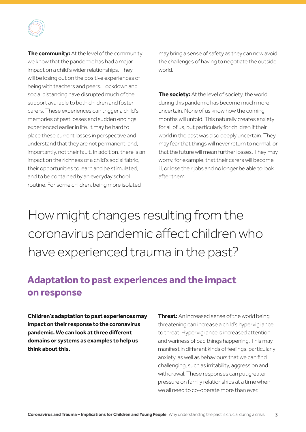

may bring a sense of safety as they can now avoid the challenges of having to negotiate the outside world.

**The society:** At the level of society, the world during this pandemic has become much more uncertain. None of us know how the coming months will unfold. This naturally creates anxiety for all of us, but particularly for children if their world in the past was also deeply uncertain. They may fear that things will never return to normal, or that the future will mean further losses. They may worry, for example, that their carers will become ill, or lose their jobs and no longer be able to look after them.

### How might changes resulting from the coronavirus pandemic affect children who have experienced trauma in the past?

#### **Adaptation to past experiences and the impact on response**

**Children's adaptation to past experiences may impact on their response to the coronavirus pandemic. We can look at three different domains or systems as examples to help us think about this.** 

**Threat:** An increased sense of the world being threatening can increase a child's hypervigilance to threat. Hypervigilance is increased attention and wariness of bad things happening. This may manifest in different kinds of feelings, particularly anxiety, as well as behaviours that we can find challenging, such as irritability, aggression and withdrawal. These responses can put greater pressure on family relationships at a time when we all need to co-operate more than ever.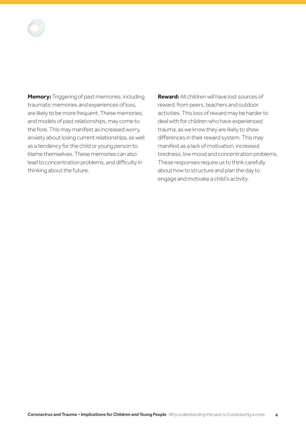

**Memory:** Triggering of past memories, including traumatic memories and experiences of loss, are likely to be more frequent. These memories, and models of past relationships, may come to the fore. This may manifest as increased worry, anxiety about losing current relationships, as well as a tendency for the child or young person to blame themselves. These memories can also lead to concentration problems, and difficulty in thinking about the future.

**Reward:** All children will have lost sources of reward: from peers, teachers and outdoor activities. This loss of reward may be harder to deal with for children who have experienced trauma, as we know they are likely to show differences in their reward system. This may manifest as a lack of motivation, increased tiredness, low mood and concentration problems. These responses require us to think carefully about how to structure and plan the day to engage and motivate a child's activity.